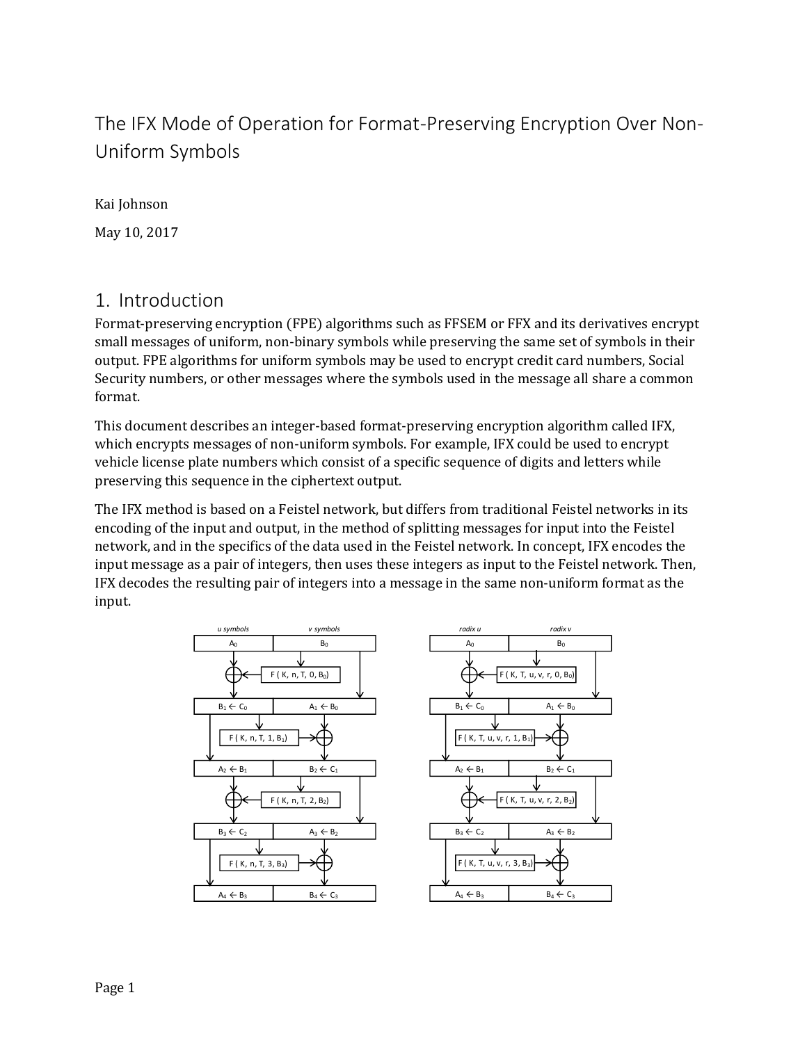# The IFX Mode of Operation for Format-Preserving Encryption Over Non-Uniform Symbols

Kai Johnson

May 10, 2017

### 1. Introduction

Format-preserving encryption (FPE) algorithms such as FFSEM or FFX and its derivatives encrypt small messages of uniform, non-binary symbols while preserving the same set of symbols in their output. FPE algorithms for uniform symbols may be used to encrypt credit card numbers, Social Security numbers, or other messages where the symbols used in the message all share a common format.

This document describes an integer-based format-preserving encryption algorithm called IFX, which encrypts messages of non-uniform symbols. For example, IFX could be used to encrypt vehicle license plate numbers which consist of a specific sequence of digits and letters while preserving this sequence in the ciphertext output.

The IFX method is based on a Feistel network, but differs from traditional Feistel networks in its encoding of the input and output, in the method of splitting messages for input into the Feistel network, and in the specifics of the data used in the Feistel network. In concept, IFX encodes the input message as a pair of integers, then uses these integers as input to the Feistel network. Then, IFX decodes the resulting pair of integers into a message in the same non-uniform format as the input.



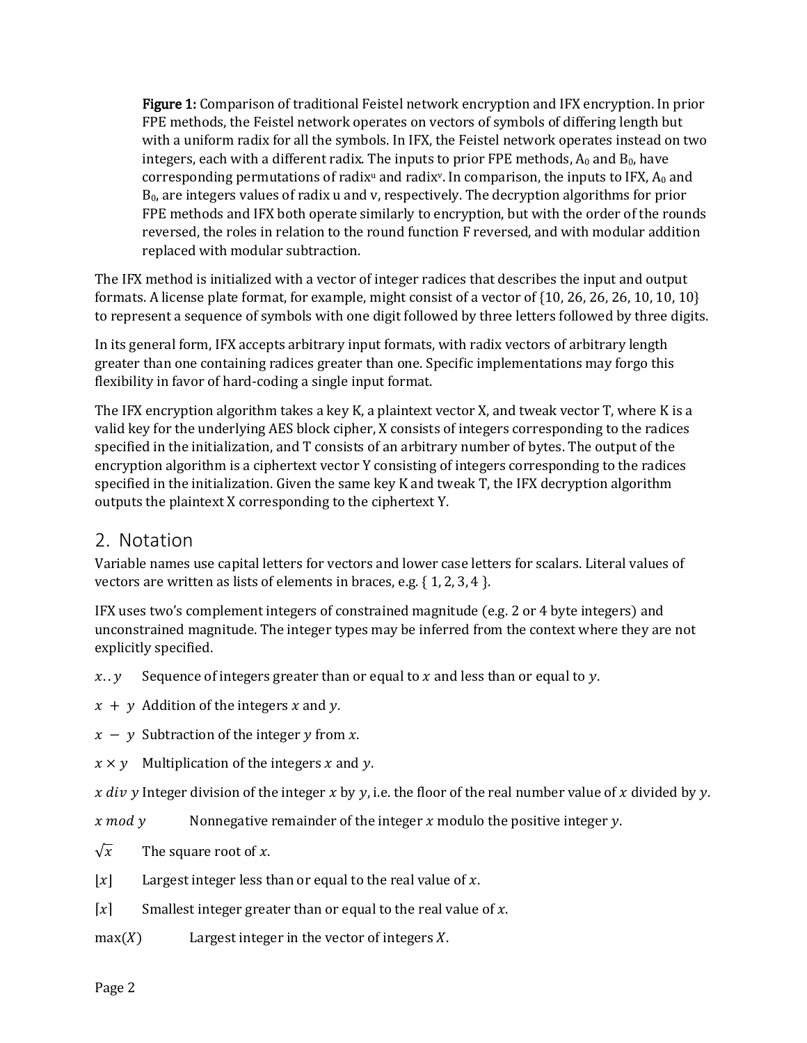Figure 1: Comparison of traditional Feistel network encryption and IFX encryption. In prior FPE methods, the Feistel network operates on vectors of symbols of differing length but with a uniform radix for all the symbols. In IFX, the Feistel network operates instead on two integers, each with a different radix. The inputs to prior FPE methods,  $A_0$  and  $B_0$ , have corresponding permutations of radix<sup>u</sup> and radix<sup>v</sup>. In comparison, the inputs to IFX,  $A_0$  and  $B<sub>0</sub>$ , are integers values of radix u and v, respectively. The decryption algorithms for prior FPE methods and IFX both operate similarly to encryption, but with the order of the rounds reversed, the roles in relation to the round function F reversed, and with modular addition replaced with modular subtraction.

The IFX method is initialized with a vector of integer radices that describes the input and output formats. A license plate format, for example, might consist of a vector of {10, 26, 26, 26, 10, 10, 10} to represent a sequence of symbols with one digit followed by three letters followed by three digits.

In its general form, IFX accepts arbitrary input formats, with radix vectors of arbitrary length greater than one containing radices greater than one. Specific implementations may forgo this flexibility in favor of hard-coding a single input format.

The IFX encryption algorithm takes a key K, a plaintext vector X, and tweak vector T, where K is a valid key for the underlying AES block cipher, X consists of integers corresponding to the radices specified in the initialization, and T consists of an arbitrary number of bytes. The output of the encryption algorithm is a ciphertext vector Y consisting of integers corresponding to the radices specified in the initialization. Given the same key K and tweak T, the IFX decryption algorithm outputs the plaintext X corresponding to the ciphertext Y.

#### 2. Notation

Variable names use capital letters for vectors and lower case letters for scalars. Literal values of vectors are written as lists of elements in braces, e.g. { 1, 2, 3, 4 }.

IFX uses two's complement integers of constrained magnitude (e.g. 2 or 4 byte integers) and unconstrained magnitude. The integer types may be inferred from the context where they are not explicitly specified.

 $x \cdot y$  Sequence of integers greater than or equal to x and less than or equal to y.

 $x + y$  Addition of the integers x and y.

 $x - y$  Subtraction of the integer y from x.

 $x \times y$  Multiplication of the integers x and y.

x div y Integer division of the integer x by y, i.e. the floor of the real number value of x divided by y.

x mod y Source 2 Nonnegative remainder of the integer x modulo the positive integer y.

- $\sqrt{x}$  The square root of x.
- $|x|$  Largest integer less than or equal to the real value of x.

 $[x]$  Smallest integer greater than or equal to the real value of x.

 $max(X)$  Largest integer in the vector of integers X.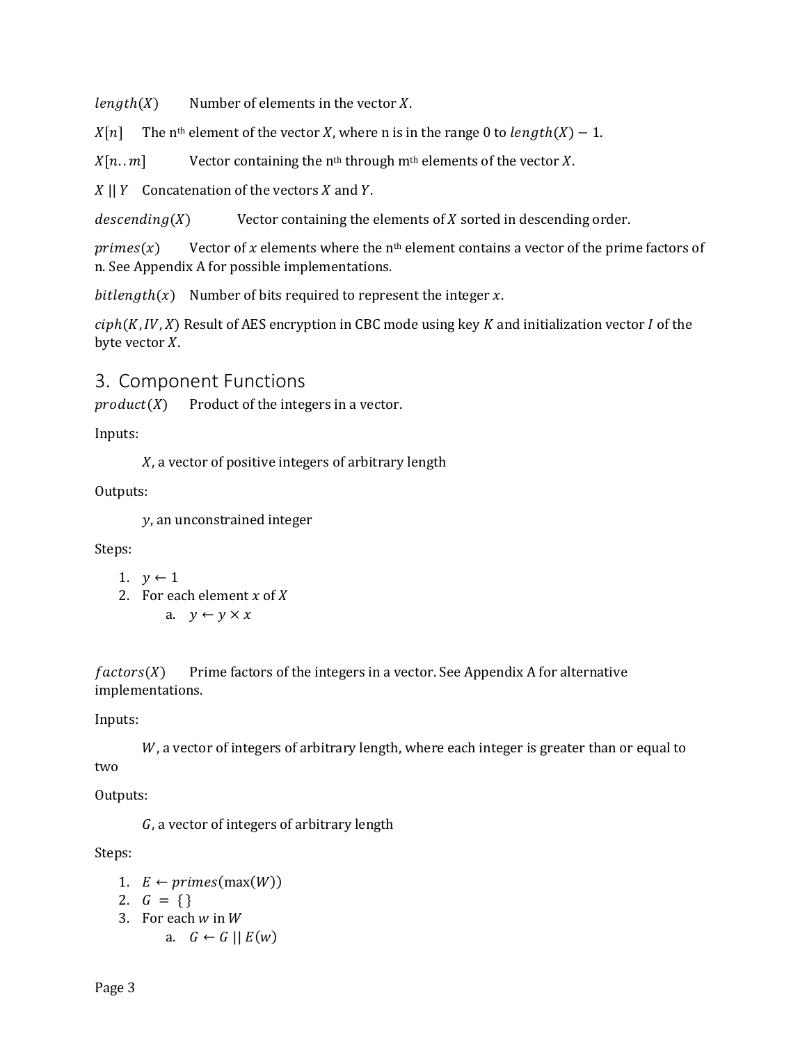$length(X)$  Number of elements in the vector X.

 $X[n]$  The n<sup>th</sup> element of the vector X, where n is in the range 0 to *length*(X) – 1.

 $X[n.. m]$  Vector containing the n<sup>th</sup> through m<sup>th</sup> elements of the vector X.

 $|X|$   $|Y|$  Concatenation of the vectors  $X$  and  $Y$ .

 $desending(X)$  Vector containing the elements of  $X$  sorted in descending order.

 $primes(x)$  Vector of x elements where the n<sup>th</sup> element contains a vector of the prime factors of n. See Appendix A for possible implementations.

 $bithergth(x)$  Number of bits required to represent the integer x.

 $\text{ciph}(K, IV, X)$  Result of AES encryption in CBC mode using key K and initialization vector I of the byte vector  $X$ .

#### 3. Component Functions

 $product(X)$  Product of the integers in a vector.

Inputs:

X, a vector of positive integers of arbitrary length

Outputs:

, an unconstrained integer

Steps:

```
1. y \leftarrow 1
```
- 2. For each element  $x$  of  $X$ 
	- a.  $y \leftarrow y \times x$

 $factors(X)$  Prime factors of the integers in a vector. See Appendix A for alternative implementations.

Inputs:

 $W$ , a vector of integers of arbitrary length, where each integer is greater than or equal to two

Outputs:

, a vector of integers of arbitrary length

Steps:

- 1.  $E \leftarrow primes(max(W))$
- 2.  $G = \{\}$
- 3. For each  $w$  in  $W$ 
	- a.  $G \leftarrow G \mid E(w)$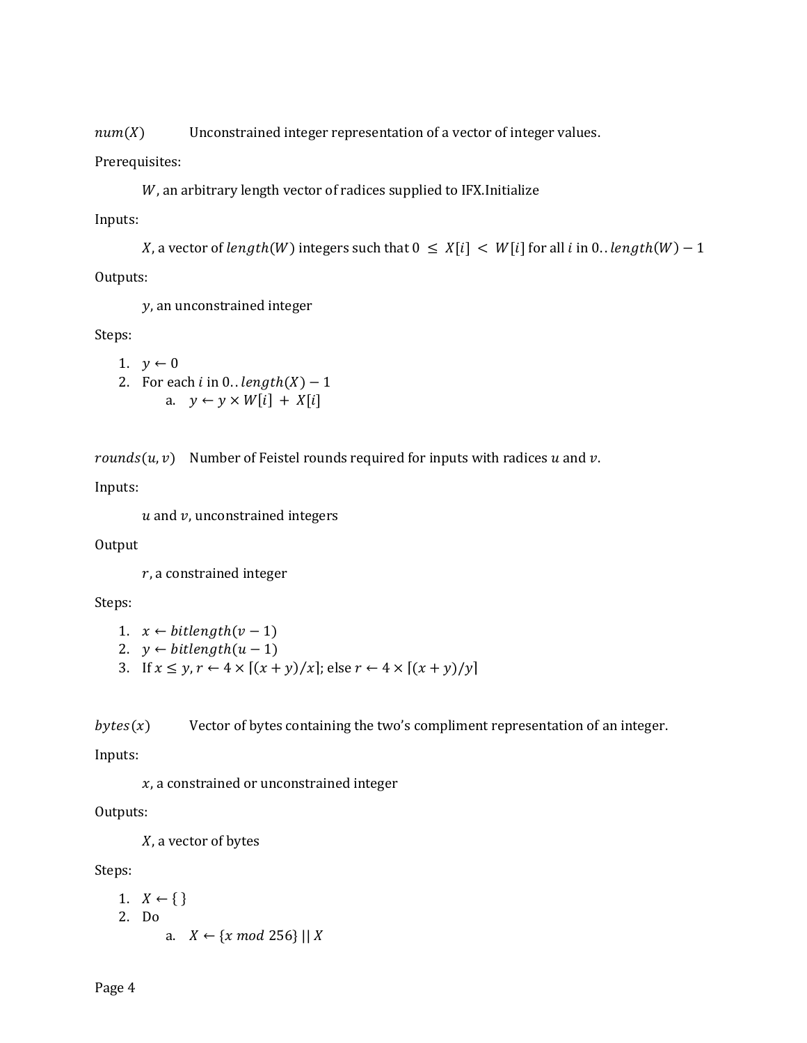$num(X)$  Unconstrained integer representation of a vector of integer values.

Prerequisites:

W, an arbitrary length vector of radices supplied to IFX. Initialize

Inputs:

X, a vector of length(W) integers such that  $0 \leq X[i] < W[i]$  for all i in 0. . length(W) – 1

Outputs:

, an unconstrained integer

Steps:

```
1. y \leftarrow 02. For each i in 0. . length(X) - 1a. y \leftarrow y \times W[i] + X[i]
```
rounds( $u, v$ ) Number of Feistel rounds required for inputs with radices  $u$  and  $v$ .

Inputs:

 $u$  and  $v$ , unconstrained integers

**Output** 

 $r$ , a constrained integer

Steps:

```
1. x \leftarrow \text{bitlength}(v-1)
```
- 2.  $y \leftarrow \text{bitlength}(u-1)$
- 3. If  $x \leq y, r \leftarrow 4 \times [(x + y)/x]$ ; else  $r \leftarrow 4 \times [(x + y)/y]$

 $bytes(x)$  Vector of bytes containing the two's compliment representation of an integer.

Inputs:

 $x$ , a constrained or unconstrained integer

Outputs:

 $X$ , a vector of bytes

Steps:

```
1. X \leftarrow \{\}2. Do
          a. X \leftarrow \{x \mod 256\} \mid X
```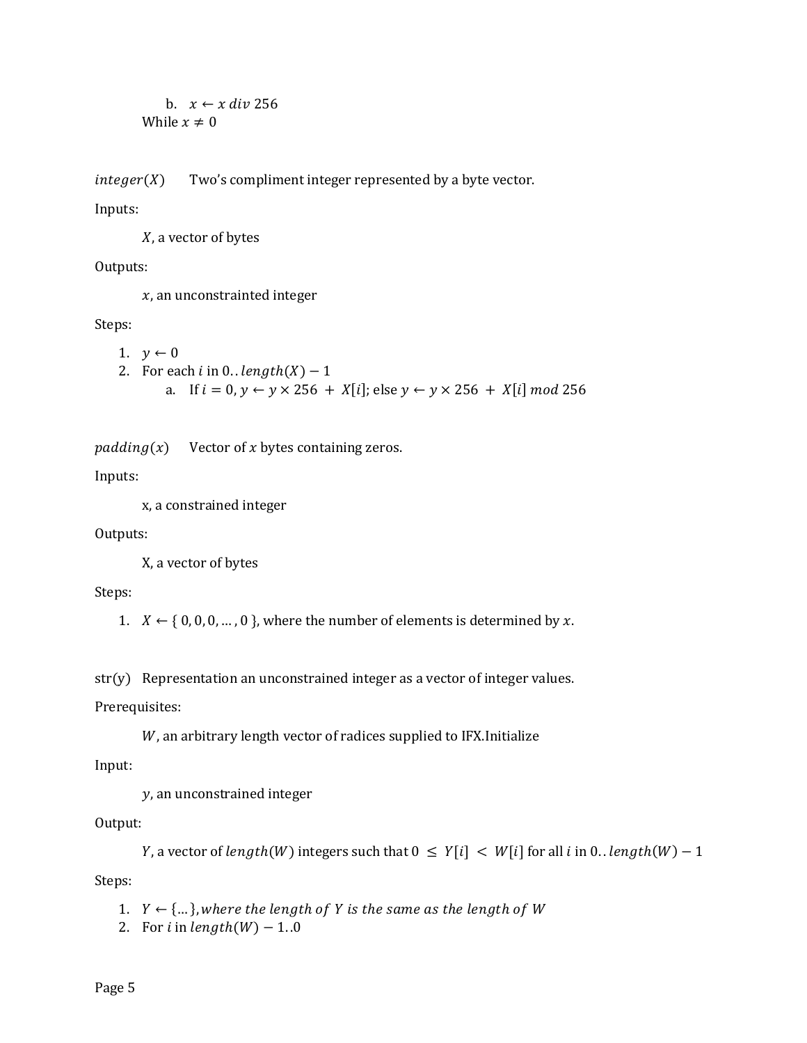```
b. x \leftarrow x \text{ div } 256While x \neq 0
```
 $integer(X)$  Two's compliment integer represented by a byte vector.

Inputs:

 $X$ , a vector of bytes

Outputs:

 $x$ , an unconstrainted integer

Steps:

1.  $y \leftarrow 0$ 

```
2. For each i in 0. . length(X) - 1
```
a. If  $i = 0, y \leftarrow y \times 256 + X[i]$ ; else  $y \leftarrow y \times 256 + X[i] \mod 256$ 

 $padding(x)$  Vector of x bytes containing zeros.

Inputs:

x, a constrained integer

Outputs:

X, a vector of bytes

Steps:

1.  $X \leftarrow \{0, 0, 0, ..., 0\}$ , where the number of elements is determined by x.

str(y) Representation an unconstrained integer as a vector of integer values.

Prerequisites:

W, an arbitrary length vector of radices supplied to IFX. Initialize

Input:

, an unconstrained integer

Output:

Y, a vector of length(W) integers such that  $0 \leq Y[i] < W[i]$  for all i in 0. . length(W) – 1 Steps:

1.  $Y \leftarrow \{\dots\}$ , where the length of Y is the same as the length of W

2. For *i* in  $length(W) - 1.0$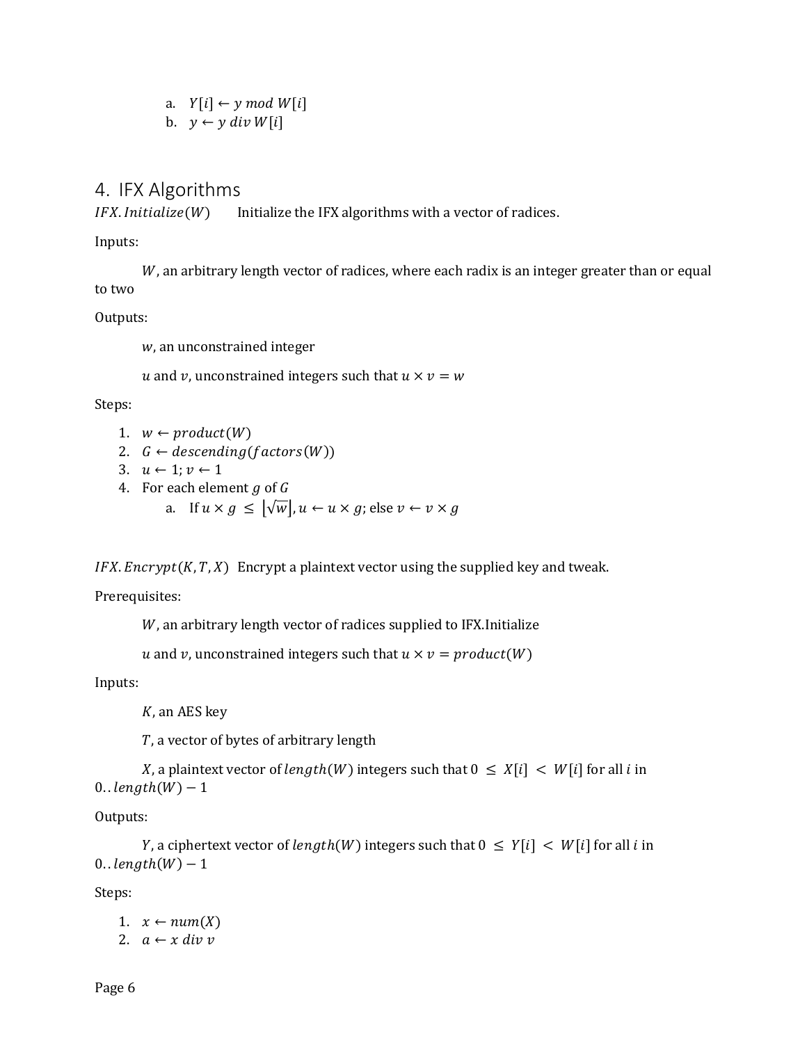a.  $Y[i] \leftarrow y \mod W[i]$ b.  $y \leftarrow y$  div W[i]

## 4. IFX Algorithms

 $IFX. Initialize(W)$  Initialize the IFX algorithms with a vector of radices.

Inputs:

 $W$ , an arbitrary length vector of radices, where each radix is an integer greater than or equal to two

Outputs:

w, an unconstrained integer

u and v, unconstrained integers such that  $u \times v = w$ 

Steps:

- 1.  $w \leftarrow product(W)$
- 2.  $G \leftarrow descending(factors(W))$
- 3.  $u \leftarrow 1; v \leftarrow 1$
- 4. For each element  $g$  of  $G$ 
	- a. If  $u \times g \leq |\sqrt{w}|, u \leftarrow u \times g$ ; else  $v \leftarrow v \times g$

 $IFX. \nEnergy(X, T, X)$  Encrypt a plaintext vector using the supplied key and tweak.

Prerequisites:

W, an arbitrary length vector of radices supplied to IFX. Initialize

```
u and v, unconstrained integers such that u \times v = product(W)
```
Inputs:

 $K$ , an AES key

, a vector of bytes of arbitrary length

X, a plaintext vector of  $length(W)$  integers such that  $0 \leq X[i] < W[i]$  for all *i* in  $0.$   $length(W) - 1$ 

Outputs:

Y, a ciphertext vector of  $length(W)$  integers such that  $0 \leq Y[i] < W[i]$  for all i in  $0.$   $length(W) - 1$ 

Steps:

1.  $x \leftarrow num(X)$ 2.  $a \leftarrow x \, div \, v$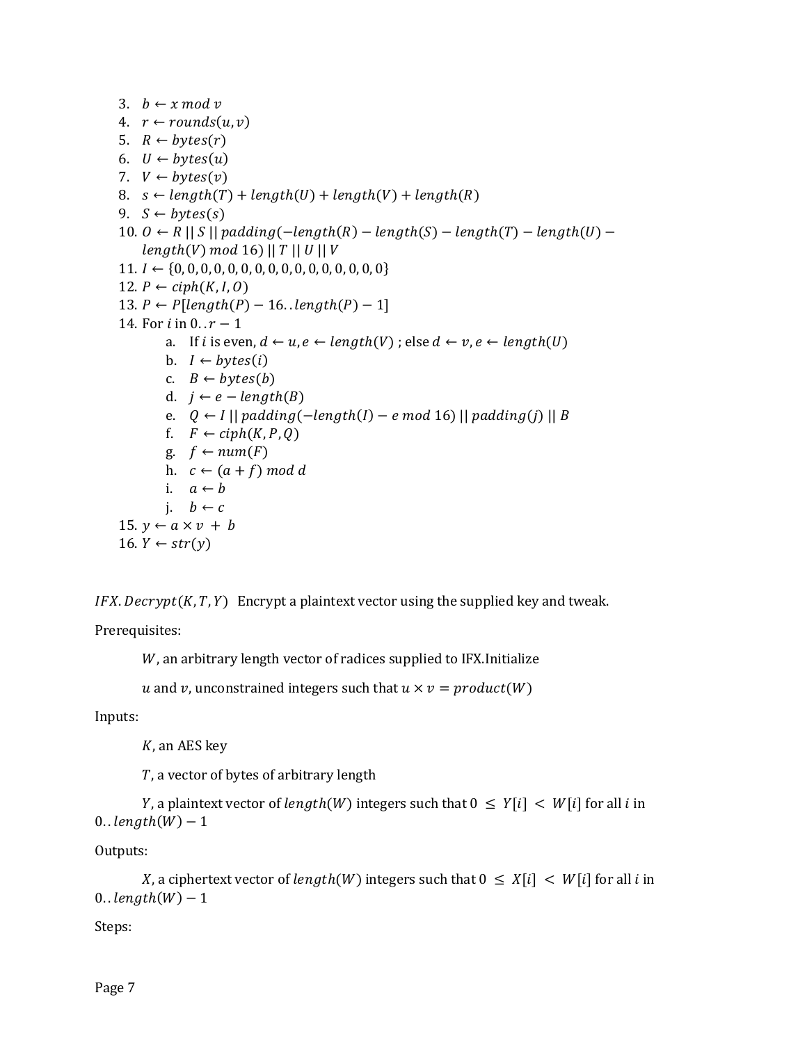3.  $b \leftarrow x \mod y$ 

4. 
$$
r \leftarrow rounds(u, v)
$$

5.  $R \leftarrow bytes(r)$ 

- 6.  $U \leftarrow bytes(u)$
- 7.  $V \leftarrow bytes(v)$
- 8.  $s \leftarrow length(T) + length(U) + length(V) + length(R)$
- 9.  $S \leftarrow bytes(s)$
- 10.  $0 \leftarrow R \mid S \mid$  padding(-length(R) length(S) length(T) length(U)  $length(V) \mod 16) || T || U || V$
- 11. ← {0, 0, 0, 0, 0, 0, 0, 0, 0, 0, 0, 0, 0, 0, 0, 0}
- 12.  $P \leftarrow ciph(K, I, 0)$
- 13.  $P \leftarrow P[length(P) 16.. length(P) 1]$
- 14. For *i* in  $0 \cdot r 1$ 
	- a. If *i* is even,  $d \leftarrow u, e \leftarrow length(V)$ ; else  $d \leftarrow v, e \leftarrow length(U)$ 
		- b.  $I \leftarrow bytes(i)$
		- c.  $B \leftarrow bytes(b)$
		- d.  $j \leftarrow e length(B)$
	- e.  $Q \leftarrow I \mid \mid padding(-length(I) e \mod 16) \mid \mid padding(i) \mid \mid B$
	- f.  $F \leftarrow ciph(K, P, Q)$
	- g.  $f \leftarrow num(F)$
	- h.  $c \leftarrow (a + f) \mod d$
	- i.  $a \leftarrow b$ 
		- i.  $b \leftarrow c$
- 15.  $y \leftarrow a \times v + b$ 16.  $Y \leftarrow str(y)$

 $IFX.$  Decrypt  $(K, T, Y)$  Encrypt a plaintext vector using the supplied key and tweak.

Prerequisites:

W, an arbitrary length vector of radices supplied to IFX. Initialize

u and v, unconstrained integers such that  $u \times v = product(W)$ 

Inputs:

 $K$ , an AES key

, a vector of bytes of arbitrary length

Y, a plaintext vector of  $length(W)$  integers such that  $0 \leq Y[i] < W[i]$  for all *i* in  $0.$   $length(W) - 1$ 

Outputs:

```
X, a ciphertext vector of length(W) integers such that 0 \leq X[i] < W[i] for all i in
0. length(W) - 1
```
Steps: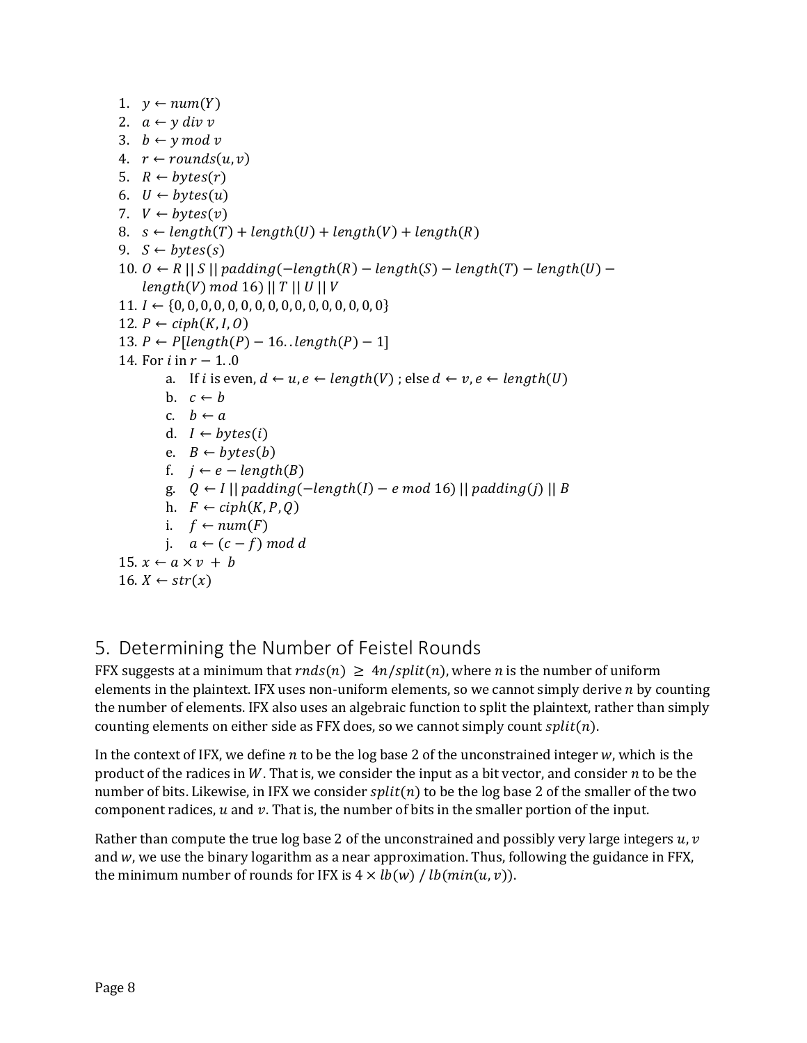1.  $y \leftarrow num(Y)$ 2.  $a \leftarrow y \, div \, v$ 3.  $b \leftarrow y \mod v$ 4.  $r \leftarrow rounds(u, v)$ 5.  $R \leftarrow bytes(r)$ 6.  $U \leftarrow bytes(u)$ 7.  $V \leftarrow bytes(v)$ 8.  $s \leftarrow length(T) + length(U) + length(V) + length(R)$ 9.  $S \leftarrow bytes(s)$ 10.  $0 \leftarrow R \mid S \mid$  padding( $-\text{length}(R) - \text{length}(S) - \text{length}(T) - \text{length}(U) - \text{length}(S)$  $length(V) \mod 16) || T || U || V$ 11. ← {0, 0, 0, 0, 0, 0, 0, 0, 0, 0, 0, 0, 0, 0, 0, 0} 12.  $P \leftarrow ciph(K, I, 0)$ 13.  $P \leftarrow P[length(P) - 16.. length(P) - 1]$ 14. For  $i$  in  $r - 1$ . 0 a. If *i* is even,  $d \leftarrow u, e \leftarrow length(V)$ ; else  $d \leftarrow v, e \leftarrow length(U)$ b.  $c \leftarrow b$ c.  $b \leftarrow a$ d.  $I \leftarrow bytes(i)$ e.  $B \leftarrow bytes(b)$ f.  $j \leftarrow e - length(B)$ g.  $Q \leftarrow I \mid \mid padding(-length(I) - e \mod 16) \mid \mid padding(j) \mid \mid B$ h.  $F \leftarrow ciph(K, P, Q)$ i.  $f \leftarrow num(F)$ j.  $a \leftarrow (c - f) \mod d$ 15.  $x \leftarrow a \times v + b$ 16.  $X \leftarrow str(x)$ 

# 5. Determining the Number of Feistel Rounds

FFX suggests at a minimum that  $rnds(n) \geq 4n/split(n)$ , where *n* is the number of uniform elements in the plaintext. IFX uses non-uniform elements, so we cannot simply derive  $n$  by counting the number of elements. IFX also uses an algebraic function to split the plaintext, rather than simply counting elements on either side as FFX does, so we cannot simply count  $split(n)$ .

In the context of IFX, we define  $n$  to be the log base 2 of the unconstrained integer  $w$ , which is the product of the radices in W. That is, we consider the input as a bit vector, and consider  $n$  to be the number of bits. Likewise, in IFX we consider  $split(n)$  to be the log base 2 of the smaller of the two component radices,  $u$  and  $v$ . That is, the number of bits in the smaller portion of the input.

Rather than compute the true log base 2 of the unconstrained and possibly very large integers  $u, v$ and  $w$ , we use the binary logarithm as a near approximation. Thus, following the guidance in FFX, the minimum number of rounds for IFX is  $4 \times lb(w) / lb(min(u, v))$ .